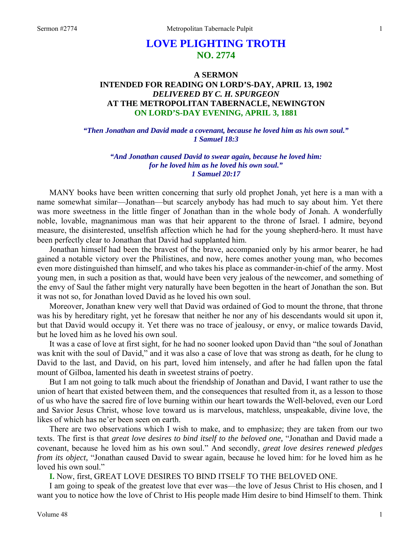# **LOVE PLIGHTING TROTH NO. 2774**

## **A SERMON INTENDED FOR READING ON LORD'S-DAY, APRIL 13, 1902**  *DELIVERED BY C. H. SPURGEON*  **AT THE METROPOLITAN TABERNACLE, NEWINGTON ON LORD'S-DAY EVENING, APRIL 3, 1881**

*"Then Jonathan and David made a covenant, because he loved him as his own soul." 1 Samuel 18:3* 

> *"And Jonathan caused David to swear again, because he loved him: for he loved him as he loved his own soul." 1 Samuel 20:17*

MANY books have been written concerning that surly old prophet Jonah, yet here is a man with a name somewhat similar—Jonathan—but scarcely anybody has had much to say about him. Yet there was more sweetness in the little finger of Jonathan than in the whole body of Jonah. A wonderfully noble, lovable, magnanimous man was that heir apparent to the throne of Israel. I admire, beyond measure, the disinterested, unselfish affection which he had for the young shepherd-hero. It must have been perfectly clear to Jonathan that David had supplanted him.

Jonathan himself had been the bravest of the brave, accompanied only by his armor bearer, he had gained a notable victory over the Philistines, and now, here comes another young man, who becomes even more distinguished than himself, and who takes his place as commander-in-chief of the army. Most young men, in such a position as that, would have been very jealous of the newcomer, and something of the envy of Saul the father might very naturally have been begotten in the heart of Jonathan the son. But it was not so, for Jonathan loved David as he loved his own soul.

Moreover, Jonathan knew very well that David was ordained of God to mount the throne, that throne was his by hereditary right, yet he foresaw that neither he nor any of his descendants would sit upon it, but that David would occupy it. Yet there was no trace of jealousy, or envy, or malice towards David, but he loved him as he loved his own soul.

It was a case of love at first sight, for he had no sooner looked upon David than "the soul of Jonathan was knit with the soul of David," and it was also a case of love that was strong as death, for he clung to David to the last, and David, on his part, loved him intensely, and after he had fallen upon the fatal mount of Gilboa, lamented his death in sweetest strains of poetry.

But I am not going to talk much about the friendship of Jonathan and David, I want rather to use the union of heart that existed between them, and the consequences that resulted from it, as a lesson to those of us who have the sacred fire of love burning within our heart towards the Well-beloved, even our Lord and Savior Jesus Christ, whose love toward us is marvelous, matchless, unspeakable, divine love, the likes of which has ne'er been seen on earth.

There are two observations which I wish to make, and to emphasize; they are taken from our two texts. The first is that *great love desires to bind itself to the beloved one,* "Jonathan and David made a covenant, because he loved him as his own soul." And secondly, *great love desires renewed pledges from its object,* "Jonathan caused David to swear again, because he loved him: for he loved him as he loved his own soul."

**I.** Now, first, GREAT LOVE DESIRES TO BIND ITSELF TO THE BELOVED ONE.

I am going to speak of the greatest love that ever was—the love of Jesus Christ to His chosen, and I want you to notice how the love of Christ to His people made Him desire to bind Himself to them. Think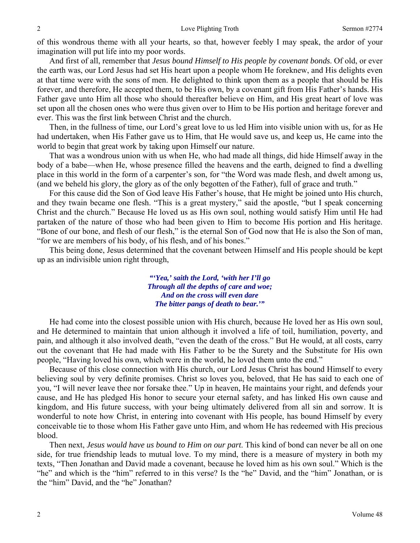of this wondrous theme with all your hearts, so that, however feebly I may speak, the ardor of your imagination will put life into my poor words.

And first of all, remember that *Jesus bound Himself to His people by covenant bonds*. Of old, or ever the earth was, our Lord Jesus had set His heart upon a people whom He foreknew, and His delights even at that time were with the sons of men. He delighted to think upon them as a people that should be His forever, and therefore, He accepted them, to be His own, by a covenant gift from His Father's hands. His Father gave unto Him all those who should thereafter believe on Him, and His great heart of love was set upon all the chosen ones who were thus given over to Him to be His portion and heritage forever and ever. This was the first link between Christ and the church.

Then, in the fullness of time, our Lord's great love to us led Him into visible union with us, for as He had undertaken, when His Father gave us to Him, that He would save us, and keep us, He came into the world to begin that great work by taking upon Himself our nature.

That was a wondrous union with us when He, who had made all things, did hide Himself away in the body of a babe—when He, whose presence filled the heavens and the earth, deigned to find a dwelling place in this world in the form of a carpenter's son, for "the Word was made flesh, and dwelt among us, (and we beheld his glory, the glory as of the only begotten of the Father), full of grace and truth."

For this cause did the Son of God leave His Father's house, that He might be joined unto His church, and they twain became one flesh. "This is a great mystery," said the apostle, "but I speak concerning Christ and the church." Because He loved us as His own soul, nothing would satisfy Him until He had partaken of the nature of those who had been given to Him to become His portion and His heritage. "Bone of our bone, and flesh of our flesh," is the eternal Son of God now that He is also the Son of man, "for we are members of his body, of his flesh, and of his bones."

This being done, Jesus determined that the covenant between Himself and His people should be kept up as an indivisible union right through,

> *"'Yea,' saith the Lord, 'with her I'll go Through all the depths of care and woe; And on the cross will even dare The bitter pangs of death to bear.'"*

He had come into the closest possible union with His church, because He loved her as His own soul, and He determined to maintain that union although it involved a life of toil, humiliation, poverty, and pain, and although it also involved death, "even the death of the cross." But He would, at all costs, carry out the covenant that He had made with His Father to be the Surety and the Substitute for His own people, "Having loved his own, which were in the world, he loved them unto the end."

Because of this close connection with His church, our Lord Jesus Christ has bound Himself to every believing soul by very definite promises. Christ so loves you, beloved, that He has said to each one of you, "I will never leave thee nor forsake thee." Up in heaven, He maintains your right, and defends your cause, and He has pledged His honor to secure your eternal safety, and has linked His own cause and kingdom, and His future success, with your being ultimately delivered from all sin and sorrow. It is wonderful to note how Christ, in entering into covenant with His people, has bound Himself by every conceivable tie to those whom His Father gave unto Him, and whom He has redeemed with His precious blood.

Then next, *Jesus would have us bound to Him on our part*. This kind of bond can never be all on one side, for true friendship leads to mutual love. To my mind, there is a measure of mystery in both my texts, "Then Jonathan and David made a covenant, because he loved him as his own soul." Which is the "he" and which is the "him" referred to in this verse? Is the "he" David, and the "him" Jonathan, or is the "him" David, and the "he" Jonathan?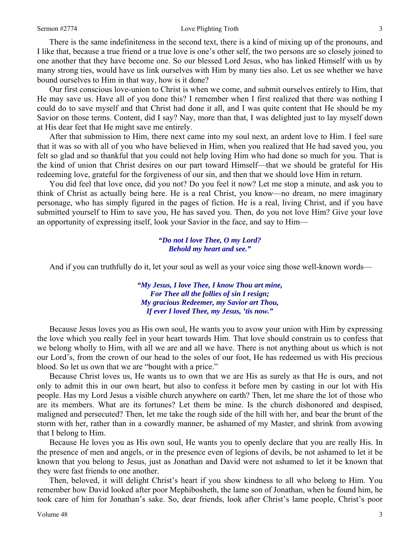#### Sermon #2774 **Sermon #2774** Love Plighting Troth 3

There is the same indefiniteness in the second text, there is a kind of mixing up of the pronouns, and I like that, because a true friend or a true love is one's other self, the two persons are so closely joined to one another that they have become one. So our blessed Lord Jesus, who has linked Himself with us by many strong ties, would have us link ourselves with Him by many ties also. Let us see whether we have bound ourselves to Him in that way, how is it done?

Our first conscious love-union to Christ is when we come, and submit ourselves entirely to Him, that He may save us. Have all of you done this? I remember when I first realized that there was nothing I could do to save myself and that Christ had done it all, and I was quite content that He should be my Savior on those terms. Content, did I say? Nay, more than that, I was delighted just to lay myself down at His dear feet that He might save me entirely.

After that submission to Him, there next came into my soul next, an ardent love to Him. I feel sure that it was so with all of you who have believed in Him, when you realized that He had saved you, you felt so glad and so thankful that you could not help loving Him who had done so much for you. That is the kind of union that Christ desires on our part toward Himself—that we should be grateful for His redeeming love, grateful for the forgiveness of our sin, and then that we should love Him in return.

You did feel that love once, did you not? Do you feel it now? Let me stop a minute, and ask you to think of Christ as actually being here. He is a real Christ, you know—no dream, no mere imaginary personage, who has simply figured in the pages of fiction. He is a real, living Christ, and if you have submitted yourself to Him to save you, He has saved you. Then, do you not love Him? Give your love an opportunity of expressing itself, look your Savior in the face, and say to Him—

#### *"Do not I love Thee, O my Lord? Behold my heart and see."*

And if you can truthfully do it, let your soul as well as your voice sing those well-known words—

*"My Jesus, I love Thee, I know Thou art mine, For Thee all the follies of sin I resign; My gracious Redeemer, my Savior art Thou, If ever I loved Thee, my Jesus, 'tis now."* 

Because Jesus loves you as His own soul, He wants you to avow your union with Him by expressing the love which you really feel in your heart towards Him. That love should constrain us to confess that we belong wholly to Him, with all we are and all we have. There is not anything about us which is not our Lord's, from the crown of our head to the soles of our foot, He has redeemed us with His precious blood. So let us own that we are "bought with a price."

Because Christ loves us, He wants us to own that we are His as surely as that He is ours, and not only to admit this in our own heart, but also to confess it before men by casting in our lot with His people. Has my Lord Jesus a visible church anywhere on earth? Then, let me share the lot of those who are its members. What are its fortunes? Let them be mine. Is the church dishonored and despised, maligned and persecuted? Then, let me take the rough side of the hill with her, and bear the brunt of the storm with her, rather than in a cowardly manner, be ashamed of my Master, and shrink from avowing that I belong to Him.

Because He loves you as His own soul, He wants you to openly declare that you are really His. In the presence of men and angels, or in the presence even of legions of devils, be not ashamed to let it be known that you belong to Jesus, just as Jonathan and David were not ashamed to let it be known that they were fast friends to one another.

Then, beloved, it will delight Christ's heart if you show kindness to all who belong to Him. You remember how David looked after poor Mephibosheth, the lame son of Jonathan, when he found him, he took care of him for Jonathan's sake. So, dear friends, look after Christ's lame people, Christ's poor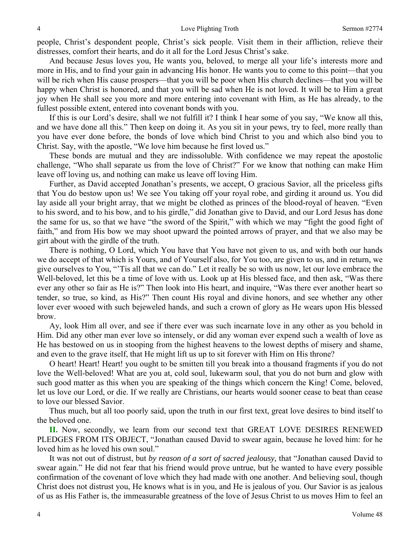people, Christ's despondent people, Christ's sick people. Visit them in their affliction, relieve their distresses, comfort their hearts, and do it all for the Lord Jesus Christ's sake.

And because Jesus loves you, He wants you, beloved, to merge all your life's interests more and more in His, and to find your gain in advancing His honor. He wants you to come to this point—that you will be rich when His cause prospers—that you will be poor when His church declines—that you will be happy when Christ is honored, and that you will be sad when He is not loved. It will be to Him a great joy when He shall see you more and more entering into covenant with Him, as He has already, to the fullest possible extent, entered into covenant bonds with you.

If this is our Lord's desire, shall we not fulfill it? I think I hear some of you say, "We know all this, and we have done all this." Then keep on doing it. As you sit in your pews, try to feel, more really than you have ever done before, the bonds of love which bind Christ to you and which also bind you to Christ. Say, with the apostle, "We love him because he first loved us."

These bonds are mutual and they are indissoluble. With confidence we may repeat the apostolic challenge, "Who shall separate us from the love of Christ?" For we know that nothing can make Him leave off loving us, and nothing can make us leave off loving Him.

Further, as David accepted Jonathan's presents, we accept, O gracious Savior, all the priceless gifts that You do bestow upon us! We see You taking off your royal robe, and girding it around us. You did lay aside all your bright array, that we might be clothed as princes of the blood-royal of heaven. "Even to his sword, and to his bow, and to his girdle," did Jonathan give to David, and our Lord Jesus has done the same for us, so that we have "the sword of the Spirit," with which we may "fight the good fight of faith," and from His bow we may shoot upward the pointed arrows of prayer, and that we also may be girt about with the girdle of the truth.

There is nothing, O Lord, which You have that You have not given to us, and with both our hands we do accept of that which is Yours, and of Yourself also, for You too, are given to us, and in return, we give ourselves to You, "'Tis all that we can do." Let it really be so with us now, let our love embrace the Well-beloved, let this be a time of love with us. Look up at His blessed face, and then ask, "Was there ever any other so fair as He is?" Then look into His heart, and inquire, "Was there ever another heart so tender, so true, so kind, as His?" Then count His royal and divine honors, and see whether any other lover ever wooed with such bejeweled hands, and such a crown of glory as He wears upon His blessed brow.

Ay, look Him all over, and see if there ever was such incarnate love in any other as you behold in Him. Did any other man ever love so intensely, or did any woman ever expend such a wealth of love as He has bestowed on us in stooping from the highest heavens to the lowest depths of misery and shame, and even to the grave itself, that He might lift us up to sit forever with Him on His throne?

O heart! Heart! Heart! you ought to be smitten till you break into a thousand fragments if you do not love the Well-beloved! What are you at, cold soul, lukewarm soul, that you do not burn and glow with such good matter as this when you are speaking of the things which concern the King! Come, beloved, let us love our Lord, or die. If we really are Christians, our hearts would sooner cease to beat than cease to love our blessed Savior.

Thus much, but all too poorly said, upon the truth in our first text, great love desires to bind itself to the beloved one.

**II.** Now, secondly, we learn from our second text that GREAT LOVE DESIRES RENEWED PLEDGES FROM ITS OBJECT, "Jonathan caused David to swear again, because he loved him: for he loved him as he loved his own soul."

It was not out of distrust, but *by reason of a sort of sacred jealousy,* that "Jonathan caused David to swear again." He did not fear that his friend would prove untrue, but he wanted to have every possible confirmation of the covenant of love which they had made with one another. And believing soul, though Christ does not distrust you, He knows what is in you, and He is jealous of you. Our Savior is as jealous of us as His Father is, the immeasurable greatness of the love of Jesus Christ to us moves Him to feel an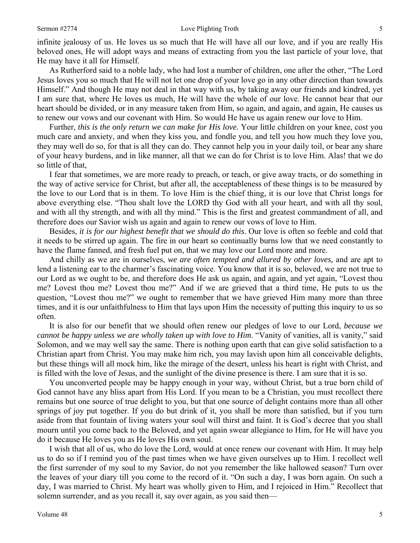infinite jealousy of us. He loves us so much that He will have all our love, and if you are really His beloved ones, He will adopt ways and means of extracting from you the last particle of your love, that He may have it all for Himself.

As Rutherford said to a noble lady, who had lost a number of children, one after the other, "The Lord Jesus loves you so much that He will not let one drop of your love go in any other direction than towards Himself." And though He may not deal in that way with us, by taking away our friends and kindred, yet I am sure that, where He loves us much, He will have the whole of our love. He cannot bear that our heart should be divided, or in any measure taken from Him, so again, and again, and again, He causes us to renew our vows and our covenant with Him. So would He have us again renew our love to Him.

Further, *this is the only return we can make for His love*. Your little children on your knee, cost you much care and anxiety, and when they kiss you, and fondle you, and tell you how much they love you, they may well do so, for that is all they can do. They cannot help you in your daily toil, or bear any share of your heavy burdens, and in like manner, all that we can do for Christ is to love Him. Alas! that we do so little of that,

I fear that sometimes, we are more ready to preach, or teach, or give away tracts, or do something in the way of active service for Christ, but after all, the acceptableness of these things is to be measured by the love to our Lord that is in them. To love Him is the chief thing, it is our love that Christ longs for above everything else. "Thou shalt love the LORD thy God with all your heart, and with all thy soul, and with all thy strength, and with all thy mind." This is the first and greatest commandment of all, and therefore does our Savior wish us again and again to renew our vows of love to Him.

Besides, *it is for our highest benefit that we should do this*. Our love is often so feeble and cold that it needs to be stirred up again. The fire in our heart so continually burns low that we need constantly to have the flame fanned, and fresh fuel put on, that we may love our Lord more and more.

And chilly as we are in ourselves, *we are often tempted and allured by other loves,* and are apt to lend a listening ear to the charmer's fascinating voice. You know that it is so, beloved, we are not true to our Lord as we ought to be, and therefore does He ask us again, and again, and yet again, "Lovest thou me? Lovest thou me? Lovest thou me?" And if we are grieved that a third time, He puts to us the question, "Lovest thou me?" we ought to remember that we have grieved Him many more than three times, and it is our unfaithfulness to Him that lays upon Him the necessity of putting this inquiry to us so often.

It is also for our benefit that we should often renew our pledges of love to our Lord, *because we cannot be happy unless we are wholly taken up with love to Him*. "Vanity of vanities, all is vanity," said Solomon, and we may well say the same. There is nothing upon earth that can give solid satisfaction to a Christian apart from Christ. You may make him rich, you may lavish upon him all conceivable delights, but these things will all mock him, like the mirage of the desert, unless his heart is right with Christ, and is filled with the love of Jesus, and the sunlight of the divine presence is there. I am sure that it is so.

You unconverted people may be happy enough in your way, without Christ, but a true born child of God cannot have any bliss apart from His Lord. If you mean to be a Christian, you must recollect there remains but one source of true delight to you, but that one source of delight contains more than all other springs of joy put together. If you do but drink of it, you shall be more than satisfied, but if you turn aside from that fountain of living waters your soul will thirst and faint. It is God's decree that you shall mourn until you come back to the Beloved, and yet again swear allegiance to Him, for He will have you do it because He loves you as He loves His own soul.

I wish that all of us, who do love the Lord, would at once renew our covenant with Him. It may help us to do so if I remind you of the past times when we have given ourselves up to Him. I recollect well the first surrender of my soul to my Savior, do not you remember the like hallowed season? Turn over the leaves of your diary till you come to the record of it. "On such a day, I was born again. On such a day, I was married to Christ. My heart was wholly given to Him, and I rejoiced in Him." Recollect that solemn surrender, and as you recall it, say over again, as you said then—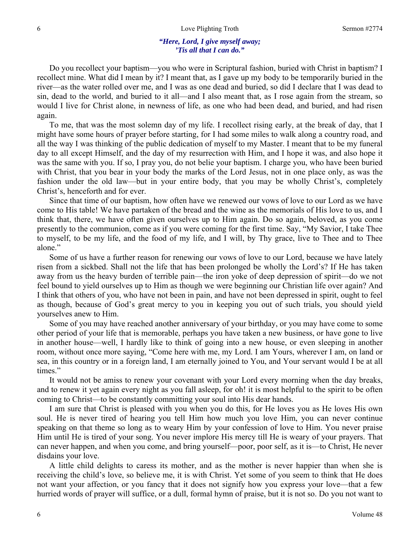#### *"Here, Lord, I give myself away; 'Tis all that I can do."*

Do you recollect your baptism—you who were in Scriptural fashion, buried with Christ in baptism? I recollect mine. What did I mean by it? I meant that, as I gave up my body to be temporarily buried in the river—as the water rolled over me, and I was as one dead and buried, so did I declare that I was dead to sin, dead to the world, and buried to it all—and I also meant that, as I rose again from the stream, so would I live for Christ alone, in newness of life, as one who had been dead, and buried, and had risen again.

To me, that was the most solemn day of my life. I recollect rising early, at the break of day, that I might have some hours of prayer before starting, for I had some miles to walk along a country road, and all the way I was thinking of the public dedication of myself to my Master. I meant that to be my funeral day to all except Himself, and the day of my resurrection with Him, and I hope it was, and also hope it was the same with you. If so, I pray you, do not belie your baptism. I charge you, who have been buried with Christ, that you bear in your body the marks of the Lord Jesus, not in one place only, as was the fashion under the old law—but in your entire body, that you may be wholly Christ's, completely Christ's, henceforth and for ever.

Since that time of our baptism, how often have we renewed our vows of love to our Lord as we have come to His table! We have partaken of the bread and the wine as the memorials of His love to us, and I think that, there, we have often given ourselves up to Him again. Do so again, beloved, as you come presently to the communion, come as if you were coming for the first time. Say, "My Savior, I take Thee to myself, to be my life, and the food of my life, and I will, by Thy grace, live to Thee and to Thee alone."

Some of us have a further reason for renewing our vows of love to our Lord, because we have lately risen from a sickbed. Shall not the life that has been prolonged be wholly the Lord's? If He has taken away from us the heavy burden of terrible pain—the iron yoke of deep depression of spirit—do we not feel bound to yield ourselves up to Him as though we were beginning our Christian life over again? And I think that others of you, who have not been in pain, and have not been depressed in spirit, ought to feel as though, because of God's great mercy to you in keeping you out of such trials, you should yield yourselves anew to Him.

Some of you may have reached another anniversary of your birthday, or you may have come to some other period of your life that is memorable, perhaps you have taken a new business, or have gone to live in another house—well, I hardly like to think of going into a new house, or even sleeping in another room, without once more saying, "Come here with me, my Lord. I am Yours, wherever I am, on land or sea, in this country or in a foreign land, I am eternally joined to You, and Your servant would I be at all times."

It would not be amiss to renew your covenant with your Lord every morning when the day breaks, and to renew it yet again every night as you fall asleep, for oh! it is most helpful to the spirit to be often coming to Christ—to be constantly committing your soul into His dear hands.

I am sure that Christ is pleased with you when you do this, for He loves you as He loves His own soul. He is never tired of hearing you tell Him how much you love Him, you can never continue speaking on that theme so long as to weary Him by your confession of love to Him. You never praise Him until He is tired of your song. You never implore His mercy till He is weary of your prayers. That can never happen, and when you come, and bring yourself—poor, poor self, as it is—to Christ, He never disdains your love.

A little child delights to caress its mother, and as the mother is never happier than when she is receiving the child's love, so believe me, it is with Christ. Yet some of you seem to think that He does not want your affection, or you fancy that it does not signify how you express your love—that a few hurried words of prayer will suffice, or a dull, formal hymn of praise, but it is not so. Do you not want to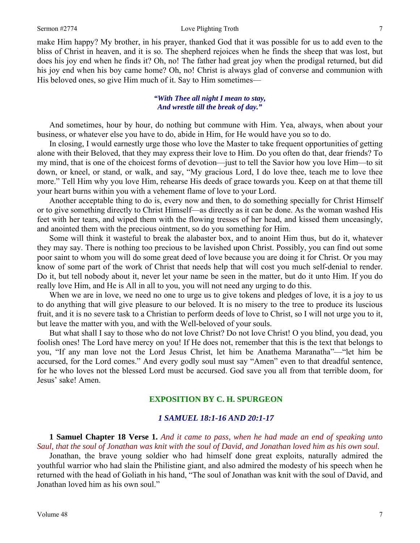make Him happy? My brother, in his prayer, thanked God that it was possible for us to add even to the bliss of Christ in heaven, and it is so. The shepherd rejoices when he finds the sheep that was lost, but does his joy end when he finds it? Oh, no! The father had great joy when the prodigal returned, but did his joy end when his boy came home? Oh, no! Christ is always glad of converse and communion with His beloved ones, so give Him much of it. Say to Him sometimes—

#### *"With Thee all night I mean to stay, And wrestle till the break of day."*

And sometimes, hour by hour, do nothing but commune with Him. Yea, always, when about your business, or whatever else you have to do, abide in Him, for He would have you so to do.

In closing, I would earnestly urge those who love the Master to take frequent opportunities of getting alone with their Beloved, that they may express their love to Him. Do you often do that, dear friends? To my mind, that is one of the choicest forms of devotion—just to tell the Savior how you love Him—to sit down, or kneel, or stand, or walk, and say, "My gracious Lord, I do love thee, teach me to love thee more." Tell Him why you love Him, rehearse His deeds of grace towards you. Keep on at that theme till your heart burns within you with a vehement flame of love to your Lord.

Another acceptable thing to do is, every now and then, to do something specially for Christ Himself or to give something directly to Christ Himself—as directly as it can be done. As the woman washed His feet with her tears, and wiped them with the flowing tresses of her head, and kissed them unceasingly, and anointed them with the precious ointment, so do you something for Him.

Some will think it wasteful to break the alabaster box, and to anoint Him thus, but do it, whatever they may say. There is nothing too precious to be lavished upon Christ. Possibly, you can find out some poor saint to whom you will do some great deed of love because you are doing it for Christ. Or you may know of some part of the work of Christ that needs help that will cost you much self-denial to render. Do it, but tell nobody about it, never let your name be seen in the matter, but do it unto Him. If you do really love Him, and He is All in all to you, you will not need any urging to do this.

When we are in love, we need no one to urge us to give tokens and pledges of love, it is a joy to us to do anything that will give pleasure to our beloved. It is no misery to the tree to produce its luscious fruit, and it is no severe task to a Christian to perform deeds of love to Christ, so I will not urge you to it, but leave the matter with you, and with the Well-beloved of your souls.

But what shall I say to those who do not love Christ? Do not love Christ! O you blind, you dead, you foolish ones! The Lord have mercy on you! If He does not, remember that this is the text that belongs to you, "If any man love not the Lord Jesus Christ, let him be Anathema Maranatha"—"let him be accursed, for the Lord comes." And every godly soul must say "Amen" even to that dreadful sentence, for he who loves not the blessed Lord must be accursed. God save you all from that terrible doom, for Jesus' sake! Amen.

#### **EXPOSITION BY C. H. SPURGEON**

#### *1 SAMUEL 18:1-16 AND 20:1-17*

**1 Samuel Chapter 18 Verse 1.** *And it came to pass, when he had made an end of speaking unto Saul, that the soul of Jonathan was knit with the soul of David, and Jonathan loved him as his own soul.* 

Jonathan, the brave young soldier who had himself done great exploits, naturally admired the youthful warrior who had slain the Philistine giant, and also admired the modesty of his speech when he returned with the head of Goliath in his hand, "The soul of Jonathan was knit with the soul of David, and Jonathan loved him as his own soul."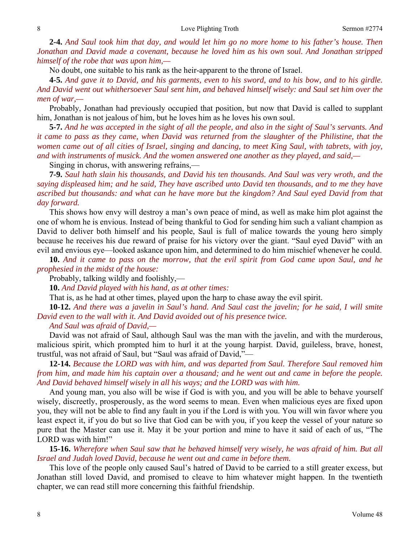**2-4.** *And Saul took him that day, and would let him go no more home to his father's house. Then Jonathan and David made a covenant, because he loved him as his own soul. And Jonathan stripped himself of the robe that was upon him,—* 

No doubt, one suitable to his rank as the heir-apparent to the throne of Israel.

**4-5.** *And gave it to David, and his garments, even to his sword, and to his bow, and to his girdle. And David went out whithersoever Saul sent him, and behaved himself wisely: and Saul set him over the men of war,—* 

Probably, Jonathan had previously occupied that position, but now that David is called to supplant him, Jonathan is not jealous of him, but he loves him as he loves his own soul.

**5-7.** *And he was accepted in the sight of all the people, and also in the sight of Saul's servants. And it came to pass as they came, when David was returned from the slaughter of the Philistine, that the women came out of all cities of Israel, singing and dancing, to meet King Saul, with tabrets, with joy, and with instruments of musick. And the women answered one another as they played, and said,—* 

Singing in chorus, with answering refrains,—

**7-9.** *Saul hath slain his thousands, and David his ten thousands. And Saul was very wroth, and the saying displeased him; and he said, They have ascribed unto David ten thousands, and to me they have ascribed but thousands: and what can he have more but the kingdom? And Saul eyed David from that day forward.* 

This shows how envy will destroy a man's own peace of mind, as well as make him plot against the one of whom he is envious. Instead of being thankful to God for sending him such a valiant champion as David to deliver both himself and his people, Saul is full of malice towards the young hero simply because he receives his due reward of praise for his victory over the giant. "Saul eyed David" with an evil and envious eye—looked askance upon him, and determined to do him mischief whenever he could.

**10.** *And it came to pass on the morrow, that the evil spirit from God came upon Saul, and he prophesied in the midst of the house:* 

Probably, talking wildly and foolishly,—

**10.** *And David played with his hand, as at other times:* 

That is, as he had at other times, played upon the harp to chase away the evil spirit.

**10-12.** *And there was a javelin in Saul's hand. And Saul cast the javelin; for he said, I will smite David even to the wall with it. And David avoided out of his presence twice.* 

*And Saul was afraid of David,—* 

David was not afraid of Saul, although Saul was the man with the javelin, and with the murderous, malicious spirit, which prompted him to hurl it at the young harpist. David, guileless, brave, honest, trustful, was not afraid of Saul, but "Saul was afraid of David,"—

**12-14.** *Because the LORD was with him, and was departed from Saul. Therefore Saul removed him from him, and made him his captain over a thousand; and he went out and came in before the people. And David behaved himself wisely in all his ways; and the LORD was with him.* 

And young man, you also will be wise if God is with you, and you will be able to behave yourself wisely, discreetly, prosperously, as the word seems to mean. Even when malicious eyes are fixed upon you, they will not be able to find any fault in you if the Lord is with you. You will win favor where you least expect it, if you do but so live that God can be with you, if you keep the vessel of your nature so pure that the Master can use it. May it be your portion and mine to have it said of each of us, "The LORD was with him!"

**15-16.** *Wherefore when Saul saw that he behaved himself very wisely, he was afraid of him. But all Israel and Judah loved David, because he went out and came in before them.* 

This love of the people only caused Saul's hatred of David to be carried to a still greater excess, but Jonathan still loved David, and promised to cleave to him whatever might happen. In the twentieth chapter, we can read still more concerning this faithful friendship.